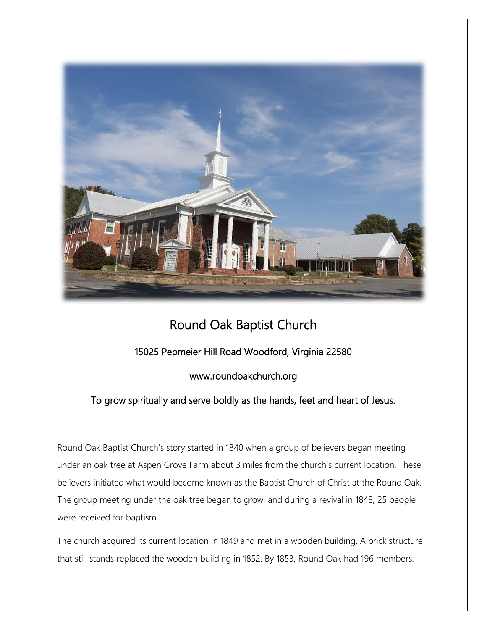

## Round Oak Baptist Church

## 15025 Pepmeier Hill Road Woodford, Virginia 22580

## www.roundoakchurch.org

## To grow spiritually and serve boldly as the hands, feet and heart of Jesus.

Round Oak Baptist Church's story started in 1840 when a group of believers began meeting under an oak tree at Aspen Grove Farm about 3 miles from the church's current location. These believers initiated what would become known as the Baptist Church of Christ at the Round Oak. The group meeting under the oak tree began to grow, and during a revival in 1848, 25 people were received for baptism.

The church acquired its current location in 1849 and met in a wooden building. A brick structure that still stands replaced the wooden building in 1852. By 1853, Round Oak had 196 members.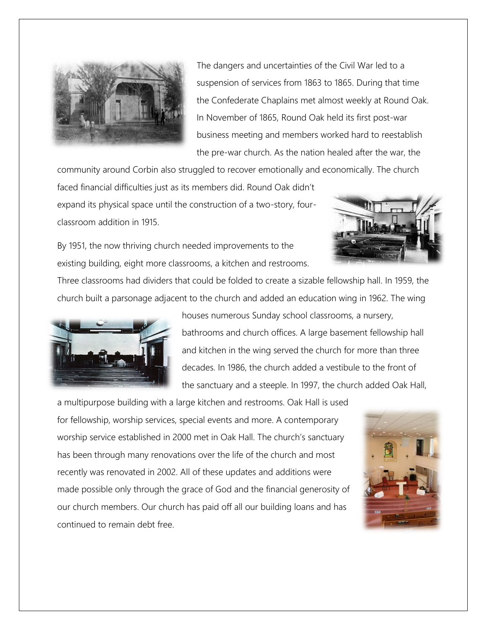

The dangers and uncertainties of the Civil War led to a suspension of services from 1863 to 1865. During that time the Confederate Chaplains met almost weekly at Round Oak. In November of 1865, Round Oak held its first post-war business meeting and members worked hard to reestablish the pre-war church. As the nation healed after the war, the

community around Corbin also struggled to recover emotionally and economically. The church

faced financial difficulties just as its members did. Round Oak didn't expand its physical space until the construction of a two-story, fourclassroom addition in 1915.



By 1951, the now thriving church needed improvements to the existing building, eight more classrooms, a kitchen and restrooms.

Three classrooms had dividers that could be folded to create a sizable fellowship hall. In 1959, the church built a parsonage adjacent to the church and added an education wing in 1962. The wing



houses numerous Sunday school classrooms, a nursery, bathrooms and church offices. A large basement fellowship hall and kitchen in the wing served the church for more than three decades. In 1986, the church added a vestibule to the front of the sanctuary and a steeple. In 1997, the church added Oak Hall,

a multipurpose building with a large kitchen and restrooms. Oak Hall is used for fellowship, worship services, special events and more. A contemporary worship service established in 2000 met in Oak Hall. The church's sanctuary has been through many renovations over the life of the church and most recently was renovated in 2002. All of these updates and additions were made possible only through the grace of God and the financial generosity of our church members. Our church has paid off all our building loans and has continued to remain debt free.

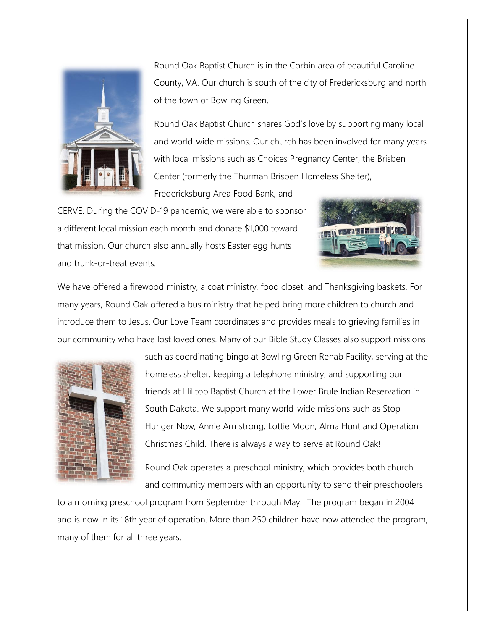

Round Oak Baptist Church is in the Corbin area of beautiful Caroline County, VA. Our church is south of the city of Fredericksburg and north of the town of Bowling Green.

Round Oak Baptist Church shares God's love by supporting many local and world-wide missions. Our church has been involved for many years with local missions such as Choices Pregnancy Center, the Brisben Center (formerly the Thurman Brisben Homeless Shelter),

Fredericksburg Area Food Bank, and

CERVE. During the COVID-19 pandemic, we were able to sponsor a different local mission each month and donate \$1,000 toward that mission. Our church also annually hosts Easter egg hunts and trunk-or-treat events.



We have offered a firewood ministry, a coat ministry, food closet, and Thanksgiving baskets. For many years, Round Oak offered a bus ministry that helped bring more children to church and introduce them to Jesus. Our Love Team coordinates and provides meals to grieving families in our community who have lost loved ones. Many of our Bible Study Classes also support missions



such as coordinating bingo at Bowling Green Rehab Facility, serving at the homeless shelter, keeping a telephone ministry, and supporting our friends at Hilltop Baptist Church at the Lower Brule Indian Reservation in South Dakota. We support many world-wide missions such as Stop Hunger Now, Annie Armstrong, Lottie Moon, Alma Hunt and Operation Christmas Child. There is always a way to serve at Round Oak!

Round Oak operates a preschool ministry, which provides both church and community members with an opportunity to send their preschoolers

to a morning preschool program from September through May. The program began in 2004 and is now in its 18th year of operation. More than 250 children have now attended the program, many of them for all three years.